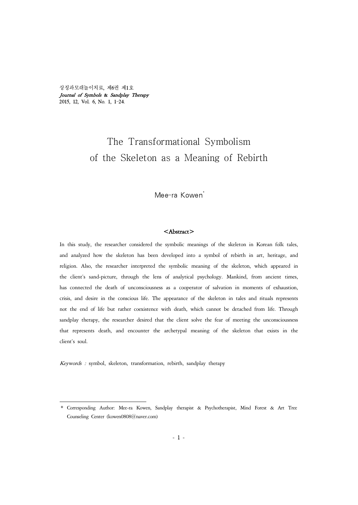상징과모래놀이치료, 제6권 제1호 Journal of Symbols & Sandplay Therapy 2015, 12, Vol. 6, No. 1, 1-24.

# The Transformational Symbolism of the Skeleton as a Meaning of Rebirth

Mee-ra Kowen<sup>\*</sup>

## <Abstract>

In this study, the researcher considered the symbolic meanings of the skeleton in Korean folk tales, and analyzed how the skeleton has been developed into a symbol of rebirth in art, heritage, and religion. Also, the researcher interpreted the symbolic meaning of the skeleton, which appeared in the client's sand-picture, through the lens of analytical psychology. Mankind, from ancient times, has connected the death of unconsciousness as a cooperator of salvation in moments of exhaustion, crisis, and desire in the conscious life. The appearance of the skeleton in tales and rituals represents not the end of life but rather coexistence with death, which cannot be detached from life. Through sandplay therapy, the researcher desired that the client solve the fear of meeting the unconsciousness that represents death, and encounter the archetypal meaning of the skeleton that exists in the client's soul.

Keywords : symbol, skeleton, transformation, rebirth, sandplay therapy

<sup>\*</sup> Corresponding Author: Mee-ra Kowen, Sandplay therapist & Psychotherapist, Mind Forest & Art Tree Counseling Center (kowen0808@naver.com)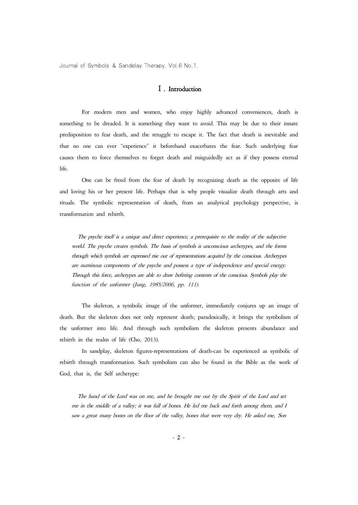## Ⅰ. Introduction

For modern men and women, who enjoy highly advanced conveniences, death is something to be dreaded. It is something they want to avoid. This may be due to their innate predisposition to fear death, and the struggle to escape it. The fact that death is inevitable and that no one can ever "experience" it beforehand exacerbates the fear. Such underlying fear causes them to force themselves to forget death and misguidedly act as if they possess eternal life.

One can be freed from the fear of death by recognizing death as the opposite of life and loving his or her present life. Perhaps that is why people visualize death through arts and rituals. The symbolic representation of death, from an analytical psychology perspective, is transformation and rebirth.

The psyche itself is a unique and direct experience, a prerequisite to the reality of the subjective world. The psyche creates symbols. The basis of symbols is unconscious archetypes, and the forms through which symbols are expressed rise out of representations acquired by the conscious. Archetypes are numinous components of the psyche and possess a type of independence and special energy. Through this force, archetypes are able to draw befitting contents of the conscious. Symbols play the function of the unformer (Jung, 1985/2006, pp. 111).

The skeleton, a symbolic image of the unformer, immediately conjures up an image of death. But the skeleton does not only represent death; paradoxically, it brings the symbolism of the unformer into life. And through such symbolism the skeleton presents abundance and rebirth in the realm of life (Cho, 2013).

In sandplay, skeleton figures-representations of death-can be experienced as symbolic of rebirth through transformation. Such symbolism can also be found in the Bible as the work of God, that is, the Self archetype:

The hand of the Lord was on me, and he brought me out by the Spirit of the Lord and set<br>me in the middle of a valley; it was full of bones. He led me back and forth among them, and I<br>saw a great many bones on the floor of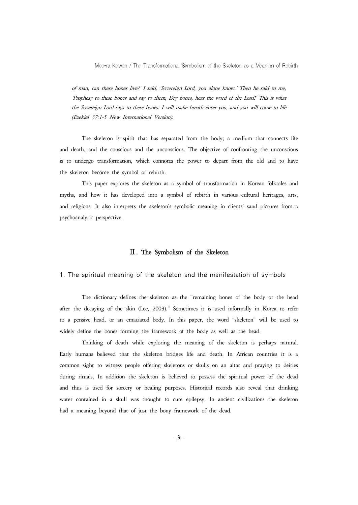of man, can these bones live?' I said, 'Sovereign Lord, you alone know.' Then he said to me, 'Prophesy to these bones and say to them, Dry bones, hear the word of the Lord!' This is what the Sovereign Lord says to these bones: I will make breath enter you, and you will come to life (Ezekiel 37:1-5 New International Version).

The skeleton is spirit that has separated from the body; a medium that connects life and death, and the conscious and the unconscious. The objective of confronting the unconscious is to undergo transformation, which connotes the power to depart from the old and to have the skeleton become the symbol of rebirth.

This paper explores the skeleton as a symbol of transformation in Korean folktales and myths, and how it has developed into a symbol of rebirth in various cultural heritages, arts, and religions. It also interprets the skeleton's symbolic meaning in clients' sand pictures from a psychoanalytic perspective.

#### Ⅱ. The Symbolism of the Skeleton

1. The spiritual meaning of the skeleton and the manifestation of symbols

The dictionary defines the skeleton as the "remaining bones of the body or the head after the decaying of the skin (Lee, 2003)." Sometimes it is used informally in Korea to refer to a pensive head, or an emaciated body. In this paper, the word "skeleton" will be used to widely define the bones forming the framework of the body as well as the head.

Thinking of death while exploring the meaning of the skeleton is perhaps natural. Early humans believed that the skeleton bridges life and death. In African countries it is a common sight to witness people offering skeletons or skulls on an altar and praying to deities during rituals. In addition the skeleton is believed to possess the spiritual power of the dead and thus is used for sorcery or healing purposes. Historical records also reveal that drinking water contained in a skull was thought to cure epilepsy. In ancient civilizations the skeleton had a meaning beyond that of just the bony framework of the dead.

- 3 -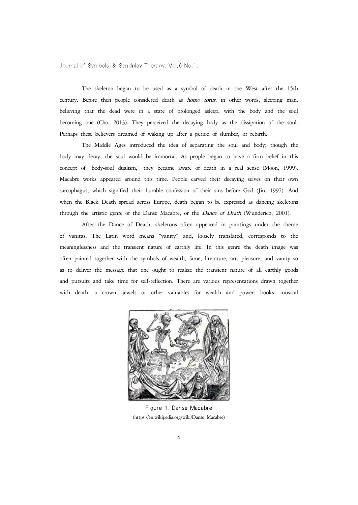The skeleton began to be used as a symbol of death in the West after the 15th century. Before then people considered death as homo totus, in other words, sleeping man, believing that the dead were in a state of prolonged asleep, with the body and the soul becoming one (Cho, 2013). They perceived the decaying body as the dissipation of the soul. Perhaps these believers dreamed of waking up after a period of slumber, or rebirth.

The Middle Ages introduced the idea of separating the soul and body; though the body may decay, the soul would be immortal. As people began to have a firm belief in this concept of "body-soul dualism," they became aware of death in a real sense (Moon, 1999). Macabre works appeared around this time. People carved their decaying selves on their own sarcophagus, which signified their humble confession of their sins before God (Jin, 1997). And when the Black Death spread across Europe, death began to be expressed as dancing skeletons through the artistic genre of the Danse Macabre, or the Dance of Death (Wunderich, 2001).

After the Dance of Death, skeletons often appeared in paintings under the theme of vanitas. The Latin word means "vanity" and, loosely translated, corresponds to the meaninglessness and the transient nature of earthly life. In this genre the death image was<br>often painted together with the symbols of wealth, fame, literature, art, pleasure, and vanity so<br>as to deliver the message that o and pursuits and take time for self-reflection. There are various representations drawn together with death: a crown, jewels or other valuables for wealth and power; books, musical



Figure 1. Danse Macabre (https://en.wikipedia.org/wiki/Danse\_Macabre)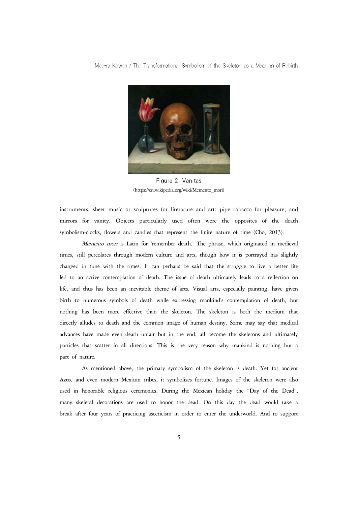

Figure 2. Vanitas (https://en.wikipedia.org/wiki/Memento\_mori)

instruments, sheet music or sculptures for literature and art; pipe tobacco for pleasure; and mirrors for vanity. Objects particularly used often were the opposites of the death symbolism-clocks, flowers and candles that represent the finite nature of time (Cho, 2013).

Memento mori is Latin for 'remember death.' The phrase, which originated in medieval times, still percolates through modern culture and arts, though how it is portrayed has slightly changed in tune with the times. It can perhaps be said that the struggle to live a better life led to an active contemplation of death. The issue of death ultimately leads to a reflection on life, and thus has been an inevitable theme of arts. Visual arts, especially painting, have given birth to numerous symbols of death while expressing mankind's contemplation of death, but nothing has been more effective than the skeleton. The skeleton is both the medium that directly alludes to death and the common image of human destiny. Some may say that medical advances have made even death unfair but in the end, all become the skeletons and ultimately particles that scatter in all directions. This is the very reason why mankind is nothing but a part of nature.

As mentioned above, the primary symbolism of the skeleton is death. Yet for ancient Aztec and even modern Mexican tribes, it symbolizes fortune. Images of the skeleton were also used in honorable religious ceremonies. During the Mexican holiday the "Day of the Dead", many skeletal decorations are used to honor the dead. On this day the dead would take a break after four years of practicing asceticism in order to enter the underworld. And to support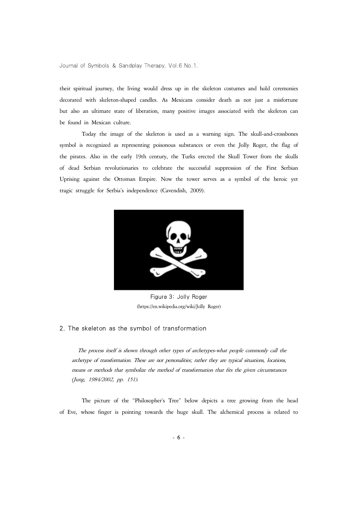their spiritual journey, the living would dress up in the skeleton costumes and hold ceremonies decorated with skeleton-shaped candles. As Mexicans consider death as not just a misfortune but also an ultimate state of liberation, many positive images associated with the skeleton can be found in Mexican culture.

Today the image of the skeleton is used as a warning sign. The skull-and-crossbones symbol is recognized as representing poisonous substances or even the Jolly Roger, the flag of the pirates. Also in the early 19th century, the Turks erected the Skull Tower from the skulls of dead Serbian revolutionaries to celebrate the successful suppression of the First Serbian Uprising against the Ottoman Empire. Now the tower serves as a symbol of the heroic yet tragic struggle for Serbia's independence (Cavendish, 2009).



Figure 3: Jolly Roger (https://en.wikipedia.org/wiki/Jolly\_Roger)

## 2. The skeleton as the symbol of transformation

The process itself is shown through other types of archetypes-what people commonly call the archetype of transformation. These are not personalities; rather they are typical situations, locations, means or methods that symbolize the method of transformation that fits the given circumstances (Jung, 1984/2002, pp. 151).

The picture of the "Philosopher's Tree" below depicts a tree growing from the head of Eve, whose finger is pointing towards the huge skull. The alchemical process is related to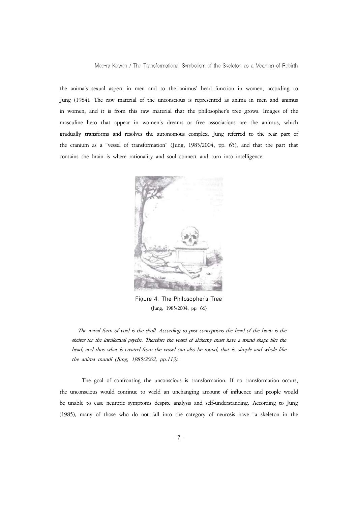the anima's sexual aspect in men and to the animus' head function in women, according to Jung (1984). The raw material of the unconscious is represented as anima in men and animus in women, and it is from this raw material that the philosopher's tree grows. Images of the masculine hero that appear in women's dreams or free associations are the animus, which gradually transforms and resolves the autonomous complex. Jung referred to the rear part of the cranium as a "vessel of transformation" (Jung, 1985/2004, pp. 65), and that the part that contains the brain is where rationality and soul connect and turn into intelligence.



Figure 4. The Philosopher's Tree (Jung, 1985/2004, pp. 66)

The initial form of void is the skull. According to past conceptions the head of the brain is the shelter for the intellectual psyche. Therefore the vessel of alchemy must have a round shape like the head, and thus what is created from the vessel can also be round, that is, simple and whole like the anima mundi (Jung, 1985/2002, pp.113).

The goal of confronting the unconscious is transformation. If no transformation occurs, the unconscious would continue to wield an unchanging amount of influence and people would be unable to ease neurotic symptoms despite analysis and self-understanding. According to Jung (1985), many of those who do not fall into the category of neurosis have "a skeleton in the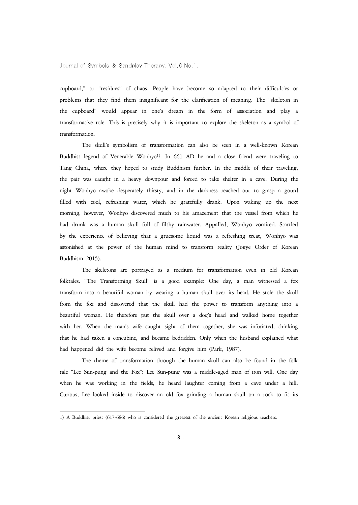cupboard," or "residues" of chaos. People have become so adapted to their difficulties or problems that they find them insignificant for the clarification of meaning. The "skeleton in the cupboard" would appear in one's dream in the form of association and play a transformative role. This is precisely why it is important to explore the skeleton as a symbol of transformation.

The skull's symbolism of transformation can also be seen in a well-known Korean Buddhist legend of Venerable Wonhyo1). In 661 AD he and a close friend were traveling to Tang China, where they hoped to study Buddhism further. In the middle of their traveling, the pair was caught in a heavy downpour and forced to take shelter in a cave. During the night Wonhyo awoke desperately thirsty, and in the darkness reached out to grasp a gourd filled with cool, refreshing water, which he gratefully drank. Upon waking up the next morning, however, Wonhyo discovered much to his amazement that the vessel from which he had drunk was a human skull full of filthy rainwater. Appalled, Wonhyo vomited. Startled by the experience of believing that a gruesome liquid was a refreshing treat, Wonhyo was astonished at the power of the human mind to transform reality (Jogye Order of Korean Buddhism 2015).

The skeletons are portrayed as a medium for transformation even in old Korean folktales. "The Transforming Skull" is a good example: One day, a man witnessed a fox transform into a beautiful woman by wearing a human skull over its head. He stole the skull from the fox and discovered that the skull had the power to transform anything into a beautiful woman. He therefore put the skull over a dog's head and walked home together with her. When the man's wife caught sight of them together, she was infuriated, thinking that he had taken a concubine, and became bedridden. Only when the husband explained what had happened did the wife become relived and forgive him (Park, 1987).

The theme of transformation through the human skull can also be found in the folk tale "Lee Sun-pung and the Fox": Lee Sun-pung was a middle-aged man of iron will. One day when he was working in the fields, he heard laughter coming from a cave under a hill. Curious, Lee looked inside to discover an old fox grinding a human skull on a rock to fit its

<sup>1)</sup> A Buddhist priest (617-686) who is considered the greatest of the ancient Korean religious teachers.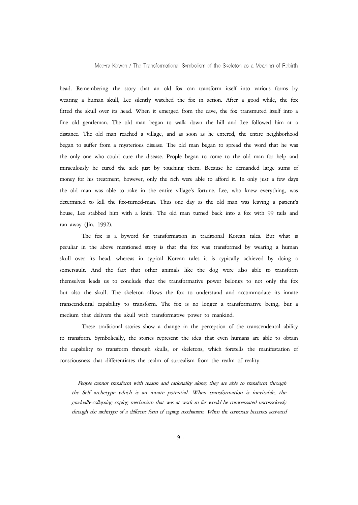head. Remembering the story that an old fox can transform itself into various forms by wearing a human skull, Lee silently watched the fox in action. After a good while, the fox fitted the skull over its head. When it emerged from the cave, the fox transmuted itself into a fine old gentleman. The old man began to walk down the hill and Lee followed him at a distance. The old man reached a village, and as soon as he entered, the entire neighborhood began to suffer from a mysterious disease. The old man began to spread the word that he was the only one who could cure the disease. People began to come to the old man for help and miraculously he cured the sick just by touching them. Because he demanded large sums of money for his treatment, however, only the rich were able to afford it. In only just a few days the old man was able to rake in the entire village's fortune. Lee, who knew everything, was determined to kill the fox-turned-man. Thus one day as the old man was leaving a patient's house, Lee stabbed him with a knife. The old man turned back into a fox with 99 tails and ran away (Jin, 1992).

The fox is a byword for transformation in traditional Korean tales. But what is peculiar in the above mentioned story is that the fox was transformed by wearing a human skull over its head, whereas in typical Korean tales it is typically achieved by doing a somersault. And the fact that other animals like the dog were also able to transform themselves leads us to conclude that the transformative power belongs to not only the fox but also the skull. The skeleton allows the fox to understand and accommodate its innate transcendental capability to transform. The fox is no longer a transformative being, but a medium that delivers the skull with transformative power to mankind.

These traditional stories show a change in the perception of the transcendental ability to transform. Symbolically, the stories represent the idea that even humans are able to obtain the capability to transform through skulls, or skeletons, which foretells the manifestation of consciousness that differentiates the realm of surrealism from the realm of reality.

People cannot transform with reason and rationality alone; they are able to transform through the Self archetype which is an innate potential. When transformation is inevitable, the gradually-collapsing coping mechanism that was at work so far would be compensated unconsciously through the archetype of a different form of coping mechanism. When the conscious becomes activated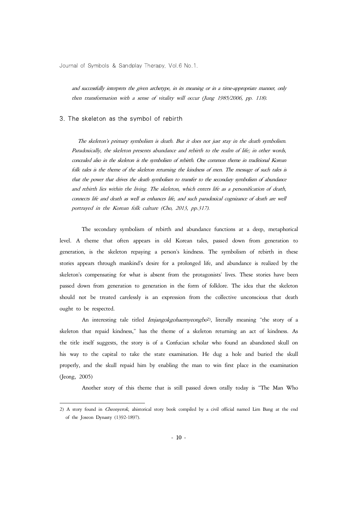and successfully interprets the given archetype, in its meaning or in a time-appropriate manner, only then transformation with a sense of vitality will occur (Jung 1985/2006, pp. 118).

#### 3. The skeleton as the symbol of rebirth

The skeleton's primary symbolism is death. But it does not just stay in the death symbolism. Paradoxically, the skeleton presents abundance and rebirth to the realm of life; in other words, concealed also in the skeleton is the symbolism of rebirth. One common theme in traditional Korean folk tales is the theme of the skeleton returning the kindness of men. The message of such tales is that the power that drives the death symbolism to transfer to the secondary symbolism of abundance and rebirth lies within the living. The skeleton, which enters life as a personification of death, connects life and death as well as enhances life, and such paradoxical cognizance of death are well portrayed in the Korean folk culture (Cho, 2013, pp.317).

The secondary symbolism of rebirth and abundance functions at a deep, metaphorical level. A theme that often appears in old Korean tales, passed down from generation to generation, is the skeleton repaying a person's kindness. The symbolism of rebirth in these stories appears through mankind's desire for a prolonged life, and abundance is realized by the skeleton's compensating for what is absent from the protagonists' lives. These stories have been passed down from generation to generation in the form of folklore. The idea that the skeleton should not be treated carelessly is an expression from the collective unconscious that death ought to be respected.

An interesting tale titled *Imjangokgohaemyeongbo*<sup>2</sup>), literally meaning "the story of a skeleton that repaid kindness," has the theme of a skeleton returning an act of kindness. As the title itself suggests, the story is of a Confucian scholar who found an abandoned skull on his way to the capital to take the state examination. He dug a hole and buried the skull properly, and the skull repaid him by enabling the man to win first place in the examination (Jeong, 2005)

Another story of this theme that is still passed down orally today is "The Man Who

<sup>2)</sup> A story found in Cheonyerok, ahistorical story book compiled by a civil official named Lim Bang at the end of the Joseon Dynasty (1392-1897).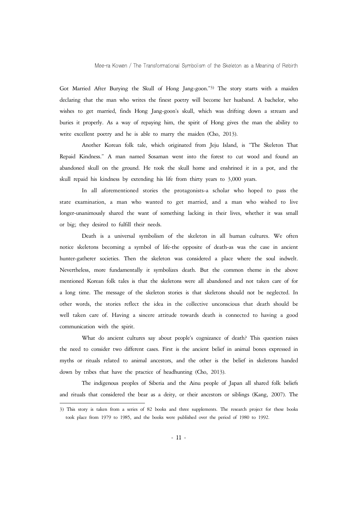Got Married After Burying the Skull of Hong Jang-goon."3) The story starts with a maiden declaring that the man who writes the finest poetry will become her husband. A bachelor, who wishes to get married, finds Hong Jang-goon's skull, which was drifting down a stream and buries it properly. As a way of repaying him, the spirit of Hong gives the man the ability to write excellent poetry and he is able to marry the maiden (Cho, 2013).

Another Korean folk tale, which originated from Jeju Island, is "The Skeleton That Repaid Kindness." A man named Sosaman went into the forest to cut wood and found an abandoned skull on the ground. He took the skull home and enshrined it in a pot, and the skull repaid his kindness by extending his life from thirty years to 3,000 years.

In all aforementioned stories the protagonists-a scholar who hoped to pass the state examination, a man who wanted to get married, and a man who wished to live longer-unanimously shared the want of something lacking in their lives, whether it was small or big; they desired to fulfill their needs.

Death is a universal symbolism of the skeleton in all human cultures. We often notice skeletons becoming a symbol of life-the opposite of death-as was the case in ancient hunter-gatherer societies. Then the skeleton was considered a place where the soul indwelt. Nevertheless, more fundamentally it symbolizes death. But the common theme in the above mentioned Korean folk tales is that the skeletons were all abandoned and not taken care of for a long time. The message of the skeleton stories is that skeletons should not be neglected. In other words, the stories reflect the idea in the collective unconscious that death should be well taken care of. Having a sincere attitude towards death is connected to having a good communication with the spirit.

What do ancient cultures say about people's cognizance of death? This question raises the need to consider two different cases. First is the ancient belief in animal bones expressed in myths or rituals related to animal ancestors, and the other is the belief in skeletons handed down by tribes that have the practice of headhunting (Cho, 2013).

The indigenous peoples of Siberia and the Ainu people of Japan all shared folk beliefs and rituals that considered the bear as a deity, or their ancestors or siblings (Kang, 2007). The

<sup>3)</sup> This story is taken from a series of 82 books and three supplements. The research project for these books took place from 1979 to 1985, and the books were published over the period of 1980 to 1992.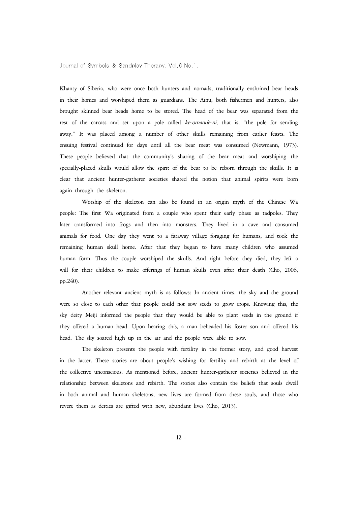Khanty of Siberia, who were once both hunters and nomads, traditionally enshrined bear heads in their homes and worshiped them as guardians. The Ainu, both fishermen and hunters, also brought skinned bear heads home to be stored. The head of the bear was separated from the rest of the carcass and set upon a pole called ke-omande-ni, that is, "the pole for sending away." It was placed among a number of other skulls remaining from earlier feasts. The ensuing festival continued for days until all the bear meat was consumed (Newmann, 1973). These people believed that the community's sharing of the bear meat and worshiping the specially-placed skulls would allow the spirit of the bear to be reborn through the skulls. It is clear that ancient hunter-gatherer societies shared the notion that animal spirits were born again through the skeleton.

Worship of the skeleton can also be found in an origin myth of the Chinese Wa people: The first Wa originated from a couple who spent their early phase as tadpoles. They later transformed into frogs and then into monsters. They lived in a cave and consumed animals for food. One day they went to a faraway village foraging for humans, and took the remaining human skull home. After that they began to have many children who assumed human form. Thus the couple worshiped the skulls. And right before they died, they left a will for their children to make offerings of human skulls even after their death (Cho, 2006, pp.240).

Another relevant ancient myth is as follows: In ancient times, the sky and the ground were so close to each other that people could not sow seeds to grow crops. Knowing this, the sky deity Meiji informed the people that they would be able to plant seeds in the ground if they offered a human head. Upon hearing this, a man beheaded his foster son and offered his head. The sky soared high up in the air and the people were able to sow.

The skeleton presents the people with fertility in the former story, and good harvest in the latter. These stories are about people's wishing for fertility and rebirth at the level of the collective unconscious. As mentioned before, ancient hunter-gatherer societies believed in the relationship between skeletons and rebirth. The stories also contain the beliefs that souls dwell in both animal and human skeletons, new lives are formed from these souls, and those who revere them as deities are gifted with new, abundant lives (Cho, 2013).

- 12 -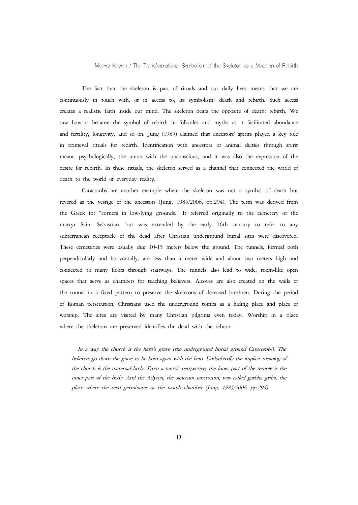The fact that the skeleton is part of rituals and our daily lives means that we are continuously in touch with, or in access to, its symbolism: death and rebirth. Such access creates a realistic faith inside our mind. The and fertility, longevity, and so on. Jung (1985) claimed that ancestors' spirits played a key role in primeval rituals for rebirth. Identification with ancestors or animal deities through spirit meant, psychologically, the union with the unconscious, and it was also the expression of the desire for rebirth. In these rituals, the skeleton served as a channel that connected the world of death to the world of everyday reality.

Catacombs are another example where the skeleton was not a symbol of death but revered as the vestige of the ancestors (Jung, 1985/2006, pp.294). The term was derived from the Greek for "corners in low-lying grounds." It referred originally to the cemetery of the martyr Saint Sebastian, but was extended by the early 16th century to refer to any subterranean receptacle of the dead after Christian underground burial sites were discovered. These cemeteries were usually dug 10-15 meters below the ground. The tunnels, formed both perpendicularly and horizontally, are less than a meter wide and about two meters high and connected to many floors through stairways. The tunnels also lead to wide, room-like open spaces that serve as chambers for teaching believers. Alcoves are also created on the walls of the tunnel in a fixed pattern to preserve the skeletons of deceased brethren. During the period of Roman persecution, Christians used the underground tombs as a hiding place and place of worship. The sites are visited by many Christian pilgrims even today. Worship in a place where the skeletons are preserved identifies the dead with the reborn.

In a way the church is the hero's grave (the underground burial ground Catacomb!). The believers go down the grave to be born again with the hero. Undoubtedly the implicit meaning of the church is the maternal body. From a tantric perspective, the inner part of the temple is the inner part of the body. And the Adyton, the sanctum sanctorum, was called garbha griha, the place where the seed germinates or the womb chamber (Jung, 1985/2006, pp.294).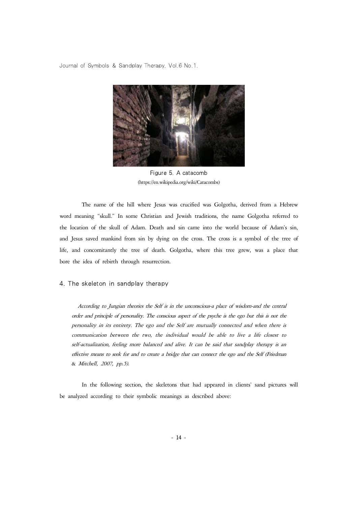

Figure 5. A catacomb (https://en.wikipedia.org/wiki/Catacombs)

The name of the hill where Jesus was crucified was Golgotha, derived from a Hebrew word meaning "skull." In some Christian and Jewish traditions, the name Golgotha referred to the location of the skull of Adam. Death and sin came into the world because of Adam's sin, and Jesus saved mankind from sin by dying on the cross. The cross is a symbol of the tree of life, and concomitantly the tree of death. Golgotha, where this tree grew, was a place that bore the idea of rebirth through resurrection.

#### 4. The skeleton in sandplay therapy

According to Jungian theories the Self is in the unconscious-a place of wisdom-and the central order and principle of personality. The conscious aspect of the psyche is the ego but this is not the personality in its entirety. The ego and the Self are mutually connected and when there is communication between the two, the individual would be able to live a life closest to self-actualization, feeling more balanced and alive. It can be said that sandplay therapy is an effective means to seek for and to create a bridge that can connect the ego and the Self (Friedman & Mitchell, 2007, pp.5).

In the following section, the skeletons that had appeared in clients' sand pictures will be analyzed according to their symbolic meanings as described above: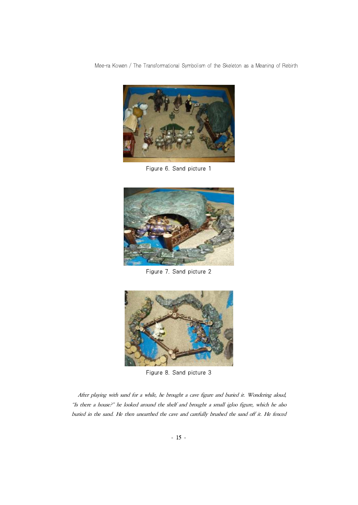

Figure 6. Sand picture 1



Figure 7. Sand picture 2



Figure 8. Sand picture 3

After playing with sand for a while, he brought a cave figure and buried it. Wondering aloud, "Is there a house?" he looked around the shelf and brought a small igloo figure, which he also buried in the sand. He then unearthed the cave and carefully brushed the sand off it. He fenced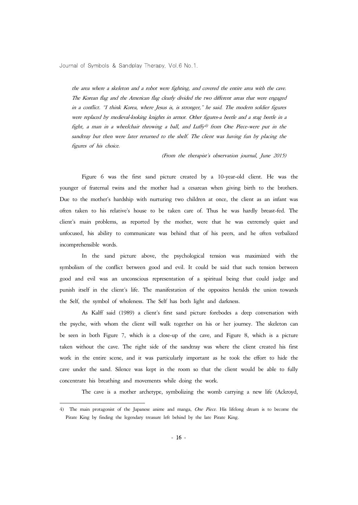the area where a skeleton and a robot were fighting, and covered the entire area with the cave. The Korean flag and the American flag clearly divided the two different areas that were engaged in a conflict. "I think Korea, where Jesus is, is stronger," he said. The modern soldier figures<br>were replaced by medieval-looking knights in armor. Other figures-a beetle and a stag beetle in a<br>fight, a man in a wheelcha sandtray but then were later returned to the shelf. The client was having fun by placing the figures of his choice.

(From the therapist's observation journal, June 2015)

Figure 6 was the first sand picture created by a 10-year-old client. He was the younger of fraternal twins and the mother had a cesarean when giving birth to the brothers. Due to the mother's hardship with nurturing two children at once, the client as an infant was often taken to his relative's house to be taken care of. Thus he was hardly breast-fed. The client's main problems, as reported by the mother, were that he was extremely quiet and unfocused, his ability to communicate was behind that of his peers, and he often verbalized incomprehensible words.

In the sand picture above, the psychological tension was maximized with the symbolism of the conflict between good and evil. It could be said that such tension between good and evil was an unconscious representation of a spiritual being that could judge and punish itself in the client's life. The manifestation of the opposites heralds the union towards the Self, the symbol of wholeness. The Self has both light and darkness.

As Kalff said (1989) a client's first sand picture forebodes a deep conversation with the psyche, with whom the client will walk together on his or her journey. The skeleton can be seen in both Figure 7, which is a close-up of the cave, and Figure 8, which is a picture taken without the cave. The right side of the sandtray was where the client created his first work in the entire scene, and it was particularly important as he took the effort to hide the cave under the sand. Silence was kept in the room so that the client would be able to fully concentrate his breathing and movements while doing the work.

The cave is a mother archetype, symbolizing the womb carrying a new life (Ackroyd,

<sup>4)</sup> The main protagonist of the Japanese anime and manga, One Piece. His lifelong dream is to become the Pirate King by finding the legendary treasure left behind by the late Pirate King.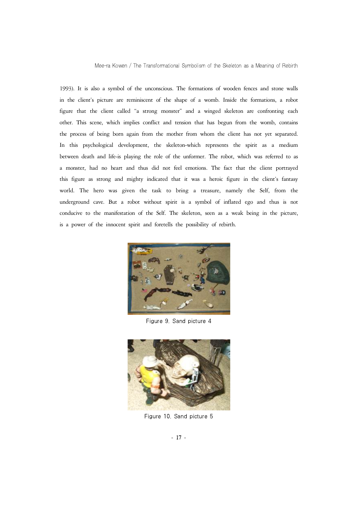1993). It is also a symbol of the unconscious. The formations of wooden fences and stone walls in the client's picture are reminiscent of the shape of a womb. Inside the formations, a robot figure that the client called "a strong monster" and a winged skeleton are confronting each other. This scene, which implies conflict and tension that has begun from the womb, contains the process of being born again from the mother from whom the client has not yet separated. In this psychological development, the skeleton-which represents the spirit as a medium between death and life-is playing the role of the unformer. The robot, which was referred to as a monster, had no heart and thus did not feel emotions. The fact that the client portrayed this figure as strong and mighty indicated that it was a heroic figure in the client's fantasy world. The hero was given the task to bring a treasure, namely the Self, from the underground cave. But a robot without spirit is a symbol of inflated ego and thus is not conducive to the manifestation of the Self. The skeleton, seen as a weak being in the picture, is a power of the innocent spirit and foretells the possibility of rebirth.



Figure 9. Sand picture 4



Figure 10. Sand picture 5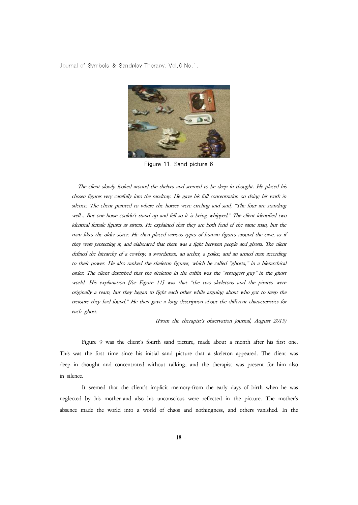

Figure 11. Sand picture 6

The client slowly looked around the shelves and seemed to be deep in thought. He placed his chosen figures very carefully into the sandtray. He gave his full concentration on doing his work in silence. The client pointed to where the horses were circling and said, "The four are standing well... But one horse couldn't stand up and fell so it is being whipped." The client identified two identical female figures as sisters. He explained that they are both fond of the same man, but the man likes the older sister. He then placed various types of human figures around the cave, as if they were protecting it, and elaborated that there was a fight between people and ghosts. The client defined the hierarchy of a cowboy, a swordsman, an archer, a police, and an armed man according to their power. He also ranked the skeleton figures, which he called "ghosts," in a hierarchical order. The client described that the skeleton in the coffin was the "strongest guy" in the ghost world. His explanation [for Figure 11] was that "the two skeletons and the pirates were originally a team, but they began to fight each other while arguing about who got to keep the treasure they had found." He then gave a long description about the different characteristics for each ghost.

(From the therapist's observation journal, August 2015)

Figure 9 was the client's fourth sand picture, made about a month after his first one. This was the first time since his initial sand picture that a skeleton appeared. The client was deep in thought and concentrated without talking, and the therapist was present for him also in silence.

It seemed that the client's implicit memory-from the early days of birth when he was neglected by his mother-and also his unconscious were reflected in the picture. The mother's absence made the world into a world of chaos and nothingness, and others vanished. In the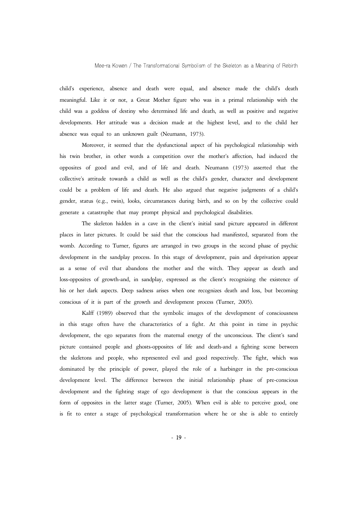child's experience, absence and death were equal, and absence made the child's death meaningful. Like it or not, a Great Mother figure who was in a primal relationship with the child was a goddess of destiny who determined life and death, as well as positive and negative developments. Her attitude was a decision made at the highest level, and to the child her absence was equal to an unknown guilt (Neumann, 1973).

Moreover, it seemed that the dysfunctional aspect of his psychological relationship with his twin brother, in other words a competition over the mother's affection, had induced the opposites of good and evil, and of life and death. Neumann (1973) asserted that the collective's attitude towards a child as well as the child's gender, character and development could be a problem of life and death. He also argued that negative judgments of a child's gender, status (e.g., twin), looks, circumstances during birth, and so on by the collective could generate a catastrophe that may prompt physical and psychological disabilities.

The skeleton hidden in a cave in the client's initial sand picture appeared in different places in later pictures. It could be said that the conscious had manifested, separated from the womb. According to Turner, figures are arranged in two groups in the second phase of psychic development in the sandplay process. In this stage of development, pain and deprivation appear as a sense of evil that abandons the mother and the witch. They appear as death and loss-opposites of growth-and, in sandplay, expressed as the client's recognizing the existence of his or her dark aspects. Deep sadness arises when one recognizes death and loss, but becoming conscious of it is part of the growth and development process (Turner, 2005).

Kalff (1989) observed that the symbolic images of the development of consciousness in this stage often have the characteristics of a fight. At this point in time in psychic development, the ego separates from the maternal energy of the unconscious. The client's sand picture contained people and ghosts-opposites of life and death-and a fighting scene between the skeletons and people, who represented evil and good respectively. The fight, which was dominated by the principle of power, played the role of a harbinger in the pre-conscious development level. The difference between the initial relationship phase of pre-conscious development and the fighting stage of ego development is that the conscious appears in the form of opposites in the latter stage (Turner, 2005). When evil is able to perceive good, one is fit to enter a stage of psychological transformation where he or she is able to entirely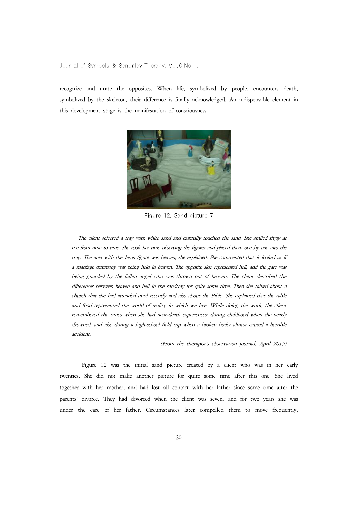recognize and unite the opposites. When life, symbolized by people, encounters death, symbolized by the skeleton, their difference is finally acknowledged. An indispensable element in this development stage is the manifestation of consciousness.



Figure 12. Sand picture 7

The client selected a tray with white sand and carefully touched the sand. She smiled shyly at me from time to time. She took her time observing the figures and placed them one by one into the tray. The area with the Jesus figure was heaven, she explained. She commented that it looked as if<br>a marriage ceremony was being held in heaven. The opposite side represented hell, and the gate was<br>being guarded by the fal differences between heaven and hell in the sandtray for quite some time. Then she talked about a church that she had attended until recently and also about the Bible. She explained that the table and food represented the world of reality in which we live. While doing the work, the client remembered the times when she had near-death experiences: during childhood when she nearly drowned, and also during a high-school field trip when a broken boiler almost caused a horrible accident.

(From the therapist's observation journal, April 2015)

Figure 12 was the initial sand picture created by a client who was in her early twenties. She did not make another picture for quite some time after this one. She lived together with her mother, and had lost all contact with her father since some time after the parents' divorce. They had divorced when the client was seven, and for two years she was under the care of her father. Circumstances later compelled them to move frequently,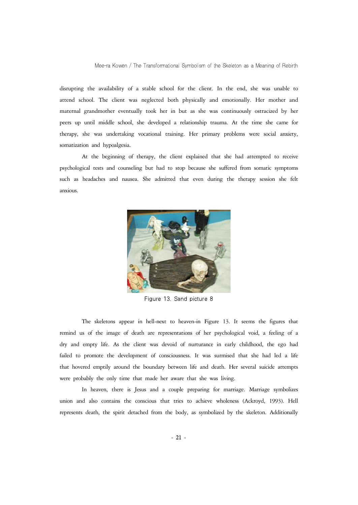disrupting the availability of a stable school for the client. In the end, she was unable to attend school. The client was neglected both physically and emotionally. Her mother and maternal grandmother eventually took her in but as she was continuously ostracized by her peers up until middle school, she developed a relationship trauma. At the time she came for therapy, she was undertaking vocational training. Her primary problems were social anxiety, somatization and hypoalgesia.

At the beginning of therapy, the client explained that she had attempted to receive psychological tests and counseling but had to stop because she suffered from somatic symptoms such as headaches and nausea. She admitted that even during the therapy session she felt anxious.



Figure 13. Sand picture 8

The skeletons appear in hell-next to heaven-in Figure 13. It seems the figures that remind us of the image of death are representations of her psychological void, a feeling of a dry and empty life. As the client was devoid of nurturance in early childhood, the ego had failed to promote the development of consciousness. It was surmised that she had led a life that hovered emptily around the boundary between life and death. Her several suicide attempts were probably the only time that made her aware that she was living.

In heaven, there is Jesus and a couple preparing for marriage. Marriage symbolizes union and also contains the conscious that tries to achieve wholeness (Ackroyd, 1993). Hell represents death, the spirit detached from the body, as symbolized by the skeleton. Additionally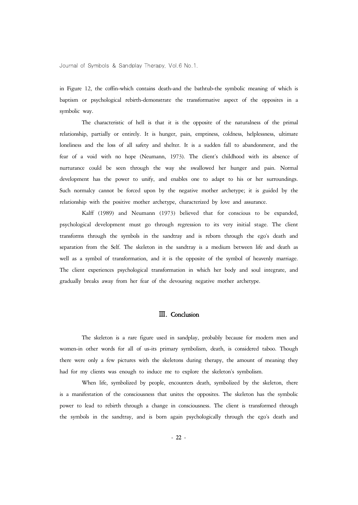in Figure 12, the coffin-which contains death-and the bathtub-the symbolic meaning of which is baptism or psychological rebirth-demonstrate the transformative aspect of the opposites in a symbolic way.

The characteristic of hell is that it is the opposite of the naturalness of the primal relationship, partially or entirely. It is hunger, pain, emptiness, coldness, helplessness, ultimate loneliness and the loss of all safety and shelter. It is a sudden fall to abandonment, and the fear of a void with no hope (Neumann, 1973). The client's childhood with its absence of nurturance could be seen through the way she swallowed her hunger and pain. Normal development has the power to unify, and enables one to adapt to his or her surroundings. Such normalcy cannot be forced upon by the negative mother archetype; it is guided by the relationship with the positive mother archetype, characterized by love and assurance.

Kalff (1989) and Neumann (1973) believed that for conscious to be expanded, psychological development must go through regression to its very initial stage. The client transforms through the symbols in the sandtray and is reborn through the ego's death and separation from the Self. The skeleton in the sandtray is a medium between life and death as well as a symbol of transformation, and it is the opposite of the symbol of heavenly marriage. The client experiences psychological transformation in which her body and soul integrate, and gradually breaks away from her fear of the devouring negative mother archetype.

## Ⅲ. Conclusion

The skeleton is a rare figure used in sandplay, probably because for modern men and women-in other words for all of us-its primary symbolism, death, is considered taboo. Though there were only a few pictures with the skeletons during therapy, the amount of meaning they had for my clients was enough to induce me to explore the skeleton's symbolism.

When life, symbolized by people, encounters death, symbolized by the skeleton, there is a manifestation of the consciousness that unites the opposites. The skeleton has the symbolic power to lead to rebirth through a change in consciousness. The client is transformed through the symbols in the sandtray, and is born again psychologically through the ego's death and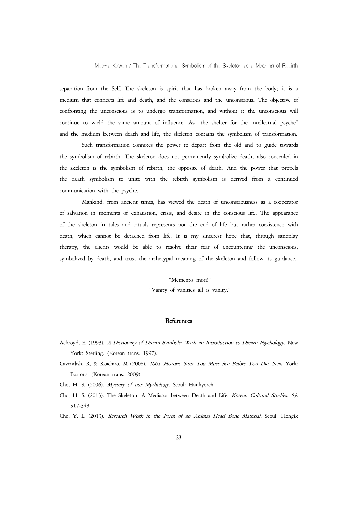separation from the Self. The skeleton is spirit that has broken away from the body; it is a medium that connects life and death, and the conscious and the unconscious. The objective of confronting the unconscious is to undergo transformation, and without it the unconscious will continue to wield the same amount of influence. As "the shelter for the intellectual psyche" and the medium between death and life, the skeleton contains the symbolism of transformation.

Such transformation connotes the power to depart from the old and to guide towards the symbolism of rebirth. The skeleton does not permanently symbolize death; also concealed in the skeleton is the symbolism of rebirth, the opposite of death. And the power that propels the death symbolism to unite with the rebirth symbolism is derived from a continued communication with the psyche.

Mankind, from ancient times, has viewed the death of unconsciousness as a cooperator of salvation in moments of exhaustion, crisis, and desire in the conscious life. The appearance of the skeleton in tales and rituals represents not the end of life but rather coexistence with death, which cannot be detached from life. It is my sincerest hope that, through sandplay therapy, the clients would be able to resolve their fear of encountering the unconscious, symbolized by death, and trust the archetypal meaning of the skeleton and follow its guidance.

#### "Memento mori!"

"Vanity of vanities all is vanity."

#### **References**

- Ackroyd, E. (1993). A Dictionary of Dream Symbols: With an Introduction to Dream Psychology. New York: Sterling. (Korean trans. 1997).
- Cavendish, R, & Koichiro, M (2008). 1001 Historic Sites You Must See Before You Die. New York: Barrons. (Korean trans. 2009).

Cho, H. S. (2006). Mystery of our Mythology. Seoul: Hankyoreh.

Cho, H. S. (2013). The Skeleton: A Mediator between Death and Life. Korean Cultural Studies. 59. 317-343.

Cho, Y. L. (2013). Research Work in the Form of an Animal Head Bone Material. Seoul: Hongik